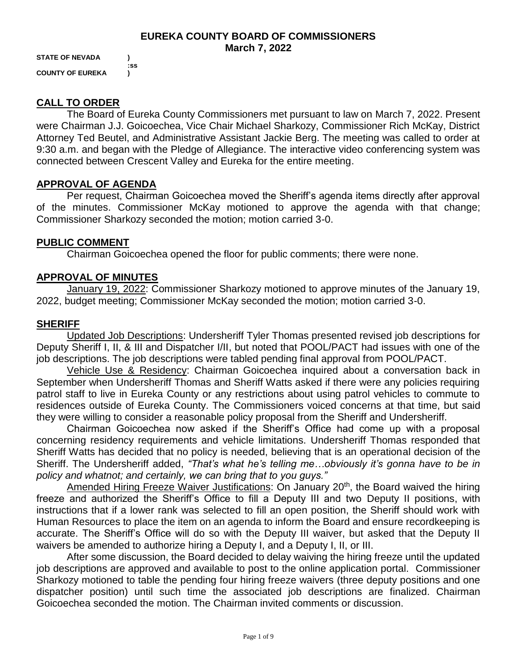#### **EUREKA COUNTY BOARD OF COMMISSIONERS March 7, 2022**

**STATE OF NEVADA ) :ss COUNTY OF EUREKA )**

## **CALL TO ORDER**

The Board of Eureka County Commissioners met pursuant to law on March 7, 2022. Present were Chairman J.J. Goicoechea, Vice Chair Michael Sharkozy, Commissioner Rich McKay, District Attorney Ted Beutel, and Administrative Assistant Jackie Berg. The meeting was called to order at 9:30 a.m. and began with the Pledge of Allegiance. The interactive video conferencing system was connected between Crescent Valley and Eureka for the entire meeting.

## **APPROVAL OF AGENDA**

Per request, Chairman Goicoechea moved the Sheriff's agenda items directly after approval of the minutes. Commissioner McKay motioned to approve the agenda with that change; Commissioner Sharkozy seconded the motion; motion carried 3-0.

## **PUBLIC COMMENT**

Chairman Goicoechea opened the floor for public comments; there were none.

## **APPROVAL OF MINUTES**

January 19, 2022: Commissioner Sharkozy motioned to approve minutes of the January 19, 2022, budget meeting; Commissioner McKay seconded the motion; motion carried 3-0.

## **SHERIFF**

Updated Job Descriptions: Undersheriff Tyler Thomas presented revised job descriptions for Deputy Sheriff I, II, & III and Dispatcher I/II, but noted that POOL/PACT had issues with one of the job descriptions. The job descriptions were tabled pending final approval from POOL/PACT.

Vehicle Use & Residency: Chairman Goicoechea inquired about a conversation back in September when Undersheriff Thomas and Sheriff Watts asked if there were any policies requiring patrol staff to live in Eureka County or any restrictions about using patrol vehicles to commute to residences outside of Eureka County. The Commissioners voiced concerns at that time, but said they were willing to consider a reasonable policy proposal from the Sheriff and Undersheriff.

Chairman Goicoechea now asked if the Sheriff's Office had come up with a proposal concerning residency requirements and vehicle limitations. Undersheriff Thomas responded that Sheriff Watts has decided that no policy is needed, believing that is an operational decision of the Sheriff. The Undersheriff added, *"That's what he's telling me…obviously it's gonna have to be in policy and whatnot; and certainly, we can bring that to you guys."* 

Amended Hiring Freeze Waiver Justifications: On January 20<sup>th</sup>, the Board waived the hiring freeze and authorized the Sheriff's Office to fill a Deputy III and two Deputy II positions, with instructions that if a lower rank was selected to fill an open position, the Sheriff should work with Human Resources to place the item on an agenda to inform the Board and ensure recordkeeping is accurate. The Sheriff's Office will do so with the Deputy III waiver, but asked that the Deputy II waivers be amended to authorize hiring a Deputy I, and a Deputy I, II, or III.

After some discussion, the Board decided to delay waiving the hiring freeze until the updated job descriptions are approved and available to post to the online application portal. Commissioner Sharkozy motioned to table the pending four hiring freeze waivers (three deputy positions and one dispatcher position) until such time the associated job descriptions are finalized. Chairman Goicoechea seconded the motion. The Chairman invited comments or discussion.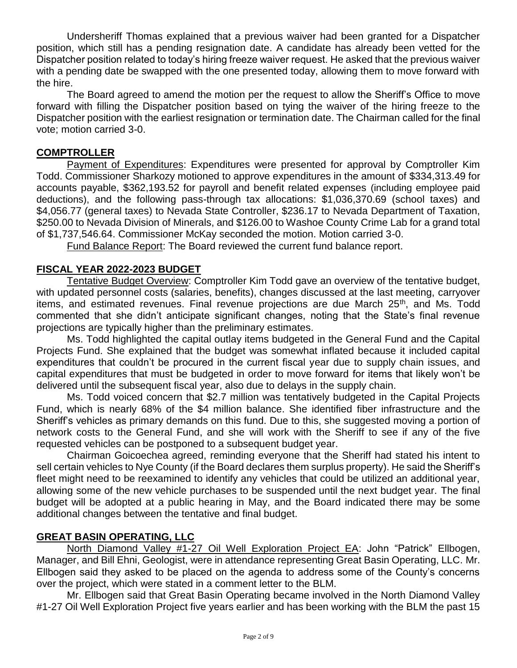Undersheriff Thomas explained that a previous waiver had been granted for a Dispatcher position, which still has a pending resignation date. A candidate has already been vetted for the Dispatcher position related to today's hiring freeze waiver request. He asked that the previous waiver with a pending date be swapped with the one presented today, allowing them to move forward with the hire.

The Board agreed to amend the motion per the request to allow the Sheriff's Office to move forward with filling the Dispatcher position based on tying the waiver of the hiring freeze to the Dispatcher position with the earliest resignation or termination date. The Chairman called for the final vote; motion carried 3-0.

## **COMPTROLLER**

Payment of Expenditures: Expenditures were presented for approval by Comptroller Kim Todd. Commissioner Sharkozy motioned to approve expenditures in the amount of \$334,313.49 for accounts payable, \$362,193.52 for payroll and benefit related expenses (including employee paid deductions), and the following pass-through tax allocations: \$1,036,370.69 (school taxes) and \$4,056.77 (general taxes) to Nevada State Controller, \$236.17 to Nevada Department of Taxation, \$250.00 to Nevada Division of Minerals, and \$126.00 to Washoe County Crime Lab for a grand total of \$1,737,546.64. Commissioner McKay seconded the motion. Motion carried 3-0.

Fund Balance Report: The Board reviewed the current fund balance report.

## **FISCAL YEAR 2022-2023 BUDGET**

Tentative Budget Overview: Comptroller Kim Todd gave an overview of the tentative budget, with updated personnel costs (salaries, benefits), changes discussed at the last meeting, carryover items, and estimated revenues. Final revenue projections are due March  $25<sup>th</sup>$ , and Ms. Todd commented that she didn't anticipate significant changes, noting that the State's final revenue projections are typically higher than the preliminary estimates.

Ms. Todd highlighted the capital outlay items budgeted in the General Fund and the Capital Projects Fund. She explained that the budget was somewhat inflated because it included capital expenditures that couldn't be procured in the current fiscal year due to supply chain issues, and capital expenditures that must be budgeted in order to move forward for items that likely won't be delivered until the subsequent fiscal year, also due to delays in the supply chain.

Ms. Todd voiced concern that \$2.7 million was tentatively budgeted in the Capital Projects Fund, which is nearly 68% of the \$4 million balance. She identified fiber infrastructure and the Sheriff's vehicles as primary demands on this fund. Due to this, she suggested moving a portion of network costs to the General Fund, and she will work with the Sheriff to see if any of the five requested vehicles can be postponed to a subsequent budget year.

Chairman Goicoechea agreed, reminding everyone that the Sheriff had stated his intent to sell certain vehicles to Nye County (if the Board declares them surplus property). He said the Sheriff's fleet might need to be reexamined to identify any vehicles that could be utilized an additional year, allowing some of the new vehicle purchases to be suspended until the next budget year. The final budget will be adopted at a public hearing in May, and the Board indicated there may be some additional changes between the tentative and final budget.

## **GREAT BASIN OPERATING, LLC**

North Diamond Valley #1-27 Oil Well Exploration Project EA: John "Patrick" Ellbogen, Manager, and Bill Ehni, Geologist, were in attendance representing Great Basin Operating, LLC. Mr. Ellbogen said they asked to be placed on the agenda to address some of the County's concerns over the project, which were stated in a comment letter to the BLM.

Mr. Ellbogen said that Great Basin Operating became involved in the North Diamond Valley #1-27 Oil Well Exploration Project five years earlier and has been working with the BLM the past 15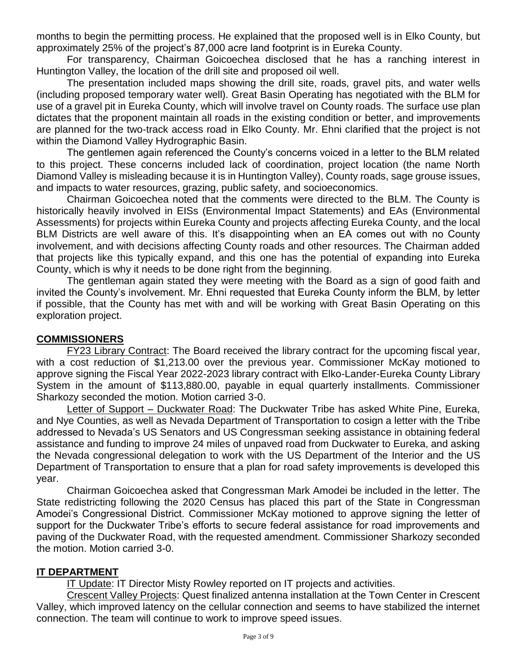months to begin the permitting process. He explained that the proposed well is in Elko County, but approximately 25% of the project's 87,000 acre land footprint is in Eureka County.

For transparency, Chairman Goicoechea disclosed that he has a ranching interest in Huntington Valley, the location of the drill site and proposed oil well.

The presentation included maps showing the drill site, roads, gravel pits, and water wells (including proposed temporary water well). Great Basin Operating has negotiated with the BLM for use of a gravel pit in Eureka County, which will involve travel on County roads. The surface use plan dictates that the proponent maintain all roads in the existing condition or better, and improvements are planned for the two-track access road in Elko County. Mr. Ehni clarified that the project is not within the Diamond Valley Hydrographic Basin.

The gentlemen again referenced the County's concerns voiced in a letter to the BLM related to this project. These concerns included lack of coordination, project location (the name North Diamond Valley is misleading because it is in Huntington Valley), County roads, sage grouse issues, and impacts to water resources, grazing, public safety, and socioeconomics.

Chairman Goicoechea noted that the comments were directed to the BLM. The County is historically heavily involved in EISs (Environmental Impact Statements) and EAs (Environmental Assessments) for projects within Eureka County and projects affecting Eureka County, and the local BLM Districts are well aware of this. It's disappointing when an EA comes out with no County involvement, and with decisions affecting County roads and other resources. The Chairman added that projects like this typically expand, and this one has the potential of expanding into Eureka County, which is why it needs to be done right from the beginning.

The gentleman again stated they were meeting with the Board as a sign of good faith and invited the County's involvement. Mr. Ehni requested that Eureka County inform the BLM, by letter if possible, that the County has met with and will be working with Great Basin Operating on this exploration project.

#### **COMMISSIONERS**

FY23 Library Contract: The Board received the library contract for the upcoming fiscal year, with a cost reduction of \$1,213.00 over the previous year. Commissioner McKay motioned to approve signing the Fiscal Year 2022-2023 library contract with Elko-Lander-Eureka County Library System in the amount of \$113,880.00, payable in equal quarterly installments. Commissioner Sharkozy seconded the motion. Motion carried 3-0.

Letter of Support – Duckwater Road: The Duckwater Tribe has asked White Pine, Eureka, and Nye Counties, as well as Nevada Department of Transportation to cosign a letter with the Tribe addressed to Nevada's US Senators and US Congressman seeking assistance in obtaining federal assistance and funding to improve 24 miles of unpaved road from Duckwater to Eureka, and asking the Nevada congressional delegation to work with the US Department of the Interior and the US Department of Transportation to ensure that a plan for road safety improvements is developed this year.

Chairman Goicoechea asked that Congressman Mark Amodei be included in the letter. The State redistricting following the 2020 Census has placed this part of the State in Congressman Amodei's Congressional District. Commissioner McKay motioned to approve signing the letter of support for the Duckwater Tribe's efforts to secure federal assistance for road improvements and paving of the Duckwater Road, with the requested amendment. Commissioner Sharkozy seconded the motion. Motion carried 3-0.

#### **IT DEPARTMENT**

**IT Update: IT Director Misty Rowley reported on IT projects and activities.** 

Crescent Valley Projects: Quest finalized antenna installation at the Town Center in Crescent Valley, which improved latency on the cellular connection and seems to have stabilized the internet connection. The team will continue to work to improve speed issues.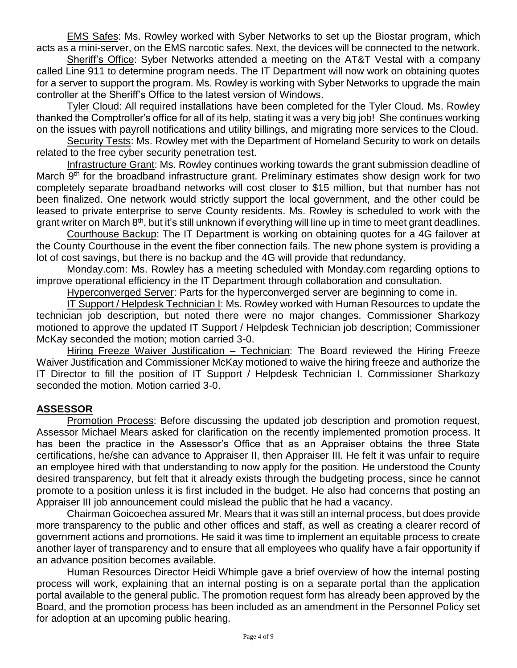EMS Safes: Ms. Rowley worked with Syber Networks to set up the Biostar program, which acts as a mini-server, on the EMS narcotic safes. Next, the devices will be connected to the network.

Sheriff's Office: Syber Networks attended a meeting on the AT&T Vestal with a company called Line 911 to determine program needs. The IT Department will now work on obtaining quotes for a server to support the program. Ms. Rowley is working with Syber Networks to upgrade the main controller at the Sheriff's Office to the latest version of Windows.

Tyler Cloud: All required installations have been completed for the Tyler Cloud. Ms. Rowley thanked the Comptroller's office for all of its help, stating it was a very big job! She continues working on the issues with payroll notifications and utility billings, and migrating more services to the Cloud.

Security Tests: Ms. Rowley met with the Department of Homeland Security to work on details related to the free cyber security penetration test.

Infrastructure Grant: Ms. Rowley continues working towards the grant submission deadline of March 9<sup>th</sup> for the broadband infrastructure grant. Preliminary estimates show design work for two completely separate broadband networks will cost closer to \$15 million, but that number has not been finalized. One network would strictly support the local government, and the other could be leased to private enterprise to serve County residents. Ms. Rowley is scheduled to work with the grant writer on March  $8<sup>th</sup>$ , but it's still unknown if everything will line up in time to meet grant deadlines.

Courthouse Backup: The IT Department is working on obtaining quotes for a 4G failover at the County Courthouse in the event the fiber connection fails. The new phone system is providing a lot of cost savings, but there is no backup and the 4G will provide that redundancy.

Monday.com: Ms. Rowley has a meeting scheduled with Monday.com regarding options to improve operational efficiency in the IT Department through collaboration and consultation.

Hyperconverged Server: Parts for the hyperconverged server are beginning to come in.

IT Support / Helpdesk Technician I: Ms. Rowley worked with Human Resources to update the technician job description, but noted there were no major changes. Commissioner Sharkozy motioned to approve the updated IT Support / Helpdesk Technician job description; Commissioner McKay seconded the motion; motion carried 3-0.

Hiring Freeze Waiver Justification – Technician: The Board reviewed the Hiring Freeze Waiver Justification and Commissioner McKay motioned to waive the hiring freeze and authorize the IT Director to fill the position of IT Support / Helpdesk Technician I. Commissioner Sharkozy seconded the motion. Motion carried 3-0.

## **ASSESSOR**

Promotion Process: Before discussing the updated job description and promotion request, Assessor Michael Mears asked for clarification on the recently implemented promotion process. It has been the practice in the Assessor's Office that as an Appraiser obtains the three State certifications, he/she can advance to Appraiser II, then Appraiser III. He felt it was unfair to require an employee hired with that understanding to now apply for the position. He understood the County desired transparency, but felt that it already exists through the budgeting process, since he cannot promote to a position unless it is first included in the budget. He also had concerns that posting an Appraiser III job announcement could mislead the public that he had a vacancy.

Chairman Goicoechea assured Mr. Mears that it was still an internal process, but does provide more transparency to the public and other offices and staff, as well as creating a clearer record of government actions and promotions. He said it was time to implement an equitable process to create another layer of transparency and to ensure that all employees who qualify have a fair opportunity if an advance position becomes available.

Human Resources Director Heidi Whimple gave a brief overview of how the internal posting process will work, explaining that an internal posting is on a separate portal than the application portal available to the general public. The promotion request form has already been approved by the Board, and the promotion process has been included as an amendment in the Personnel Policy set for adoption at an upcoming public hearing.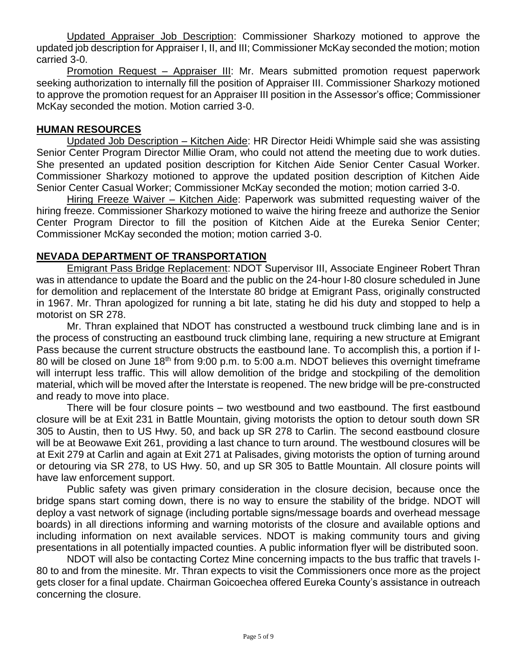Updated Appraiser Job Description: Commissioner Sharkozy motioned to approve the updated job description for Appraiser I, II, and III; Commissioner McKay seconded the motion; motion carried 3-0.

Promotion Request – Appraiser III: Mr. Mears submitted promotion request paperwork seeking authorization to internally fill the position of Appraiser III. Commissioner Sharkozy motioned to approve the promotion request for an Appraiser III position in the Assessor's office; Commissioner McKay seconded the motion. Motion carried 3-0.

## **HUMAN RESOURCES**

Updated Job Description – Kitchen Aide: HR Director Heidi Whimple said she was assisting Senior Center Program Director Millie Oram, who could not attend the meeting due to work duties. She presented an updated position description for Kitchen Aide Senior Center Casual Worker. Commissioner Sharkozy motioned to approve the updated position description of Kitchen Aide Senior Center Casual Worker; Commissioner McKay seconded the motion; motion carried 3-0.

Hiring Freeze Waiver – Kitchen Aide: Paperwork was submitted requesting waiver of the hiring freeze. Commissioner Sharkozy motioned to waive the hiring freeze and authorize the Senior Center Program Director to fill the position of Kitchen Aide at the Eureka Senior Center; Commissioner McKay seconded the motion; motion carried 3-0.

## **NEVADA DEPARTMENT OF TRANSPORTATION**

Emigrant Pass Bridge Replacement: NDOT Supervisor III, Associate Engineer Robert Thran was in attendance to update the Board and the public on the 24-hour I-80 closure scheduled in June for demolition and replacement of the Interstate 80 bridge at Emigrant Pass, originally constructed in 1967. Mr. Thran apologized for running a bit late, stating he did his duty and stopped to help a motorist on SR 278.

Mr. Thran explained that NDOT has constructed a westbound truck climbing lane and is in the process of constructing an eastbound truck climbing lane, requiring a new structure at Emigrant Pass because the current structure obstructs the eastbound lane. To accomplish this, a portion if I-80 will be closed on June 18<sup>th</sup> from 9:00 p.m. to 5:00 a.m. NDOT believes this overnight timeframe will interrupt less traffic. This will allow demolition of the bridge and stockpiling of the demolition material, which will be moved after the Interstate is reopened. The new bridge will be pre-constructed and ready to move into place.

There will be four closure points – two westbound and two eastbound. The first eastbound closure will be at Exit 231 in Battle Mountain, giving motorists the option to detour south down SR 305 to Austin, then to US Hwy. 50, and back up SR 278 to Carlin. The second eastbound closure will be at Beowawe Exit 261, providing a last chance to turn around. The westbound closures will be at Exit 279 at Carlin and again at Exit 271 at Palisades, giving motorists the option of turning around or detouring via SR 278, to US Hwy. 50, and up SR 305 to Battle Mountain. All closure points will have law enforcement support.

Public safety was given primary consideration in the closure decision, because once the bridge spans start coming down, there is no way to ensure the stability of the bridge. NDOT will deploy a vast network of signage (including portable signs/message boards and overhead message boards) in all directions informing and warning motorists of the closure and available options and including information on next available services. NDOT is making community tours and giving presentations in all potentially impacted counties. A public information flyer will be distributed soon.

NDOT will also be contacting Cortez Mine concerning impacts to the bus traffic that travels I-80 to and from the minesite. Mr. Thran expects to visit the Commissioners once more as the project gets closer for a final update. Chairman Goicoechea offered Eureka County's assistance in outreach concerning the closure.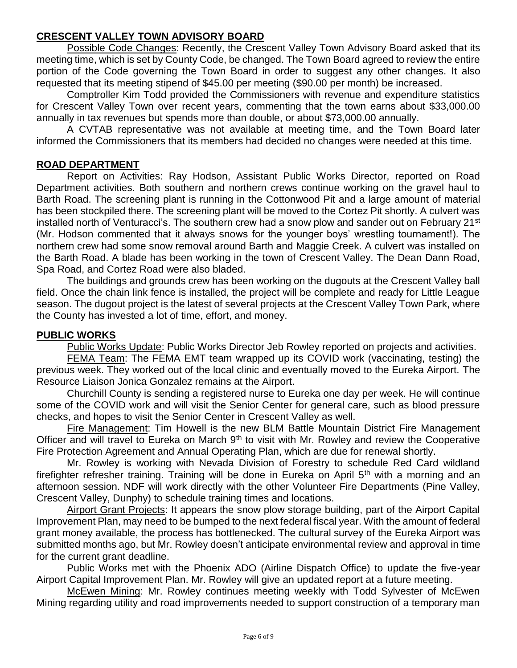## **CRESCENT VALLEY TOWN ADVISORY BOARD**

Possible Code Changes: Recently, the Crescent Valley Town Advisory Board asked that its meeting time, which is set by County Code, be changed. The Town Board agreed to review the entire portion of the Code governing the Town Board in order to suggest any other changes. It also requested that its meeting stipend of \$45.00 per meeting (\$90.00 per month) be increased.

Comptroller Kim Todd provided the Commissioners with revenue and expenditure statistics for Crescent Valley Town over recent years, commenting that the town earns about \$33,000.00 annually in tax revenues but spends more than double, or about \$73,000.00 annually.

A CVTAB representative was not available at meeting time, and the Town Board later informed the Commissioners that its members had decided no changes were needed at this time.

#### **ROAD DEPARTMENT**

Report on Activities: Ray Hodson, Assistant Public Works Director, reported on Road Department activities. Both southern and northern crews continue working on the gravel haul to Barth Road. The screening plant is running in the Cottonwood Pit and a large amount of material has been stockpiled there. The screening plant will be moved to the Cortez Pit shortly. A culvert was installed north of Venturacci's. The southern crew had a snow plow and sander out on February 21<sup>st</sup> (Mr. Hodson commented that it always snows for the younger boys' wrestling tournament!). The northern crew had some snow removal around Barth and Maggie Creek. A culvert was installed on the Barth Road. A blade has been working in the town of Crescent Valley. The Dean Dann Road, Spa Road, and Cortez Road were also bladed.

The buildings and grounds crew has been working on the dugouts at the Crescent Valley ball field. Once the chain link fence is installed, the project will be complete and ready for Little League season. The dugout project is the latest of several projects at the Crescent Valley Town Park, where the County has invested a lot of time, effort, and money.

#### **PUBLIC WORKS**

Public Works Update: Public Works Director Jeb Rowley reported on projects and activities.

FEMA Team: The FEMA EMT team wrapped up its COVID work (vaccinating, testing) the previous week. They worked out of the local clinic and eventually moved to the Eureka Airport. The Resource Liaison Jonica Gonzalez remains at the Airport.

Churchill County is sending a registered nurse to Eureka one day per week. He will continue some of the COVID work and will visit the Senior Center for general care, such as blood pressure checks, and hopes to visit the Senior Center in Crescent Valley as well.

Fire Management: Tim Howell is the new BLM Battle Mountain District Fire Management Officer and will travel to Eureka on March  $9<sup>th</sup>$  to visit with Mr. Rowley and review the Cooperative Fire Protection Agreement and Annual Operating Plan, which are due for renewal shortly.

Mr. Rowley is working with Nevada Division of Forestry to schedule Red Card wildland firefighter refresher training. Training will be done in Eureka on April 5<sup>th</sup> with a morning and an afternoon session. NDF will work directly with the other Volunteer Fire Departments (Pine Valley, Crescent Valley, Dunphy) to schedule training times and locations.

Airport Grant Projects: It appears the snow plow storage building, part of the Airport Capital Improvement Plan, may need to be bumped to the next federal fiscal year. With the amount of federal grant money available, the process has bottlenecked. The cultural survey of the Eureka Airport was submitted months ago, but Mr. Rowley doesn't anticipate environmental review and approval in time for the current grant deadline.

Public Works met with the Phoenix ADO (Airline Dispatch Office) to update the five-year Airport Capital Improvement Plan. Mr. Rowley will give an updated report at a future meeting.

McEwen Mining: Mr. Rowley continues meeting weekly with Todd Sylvester of McEwen Mining regarding utility and road improvements needed to support construction of a temporary man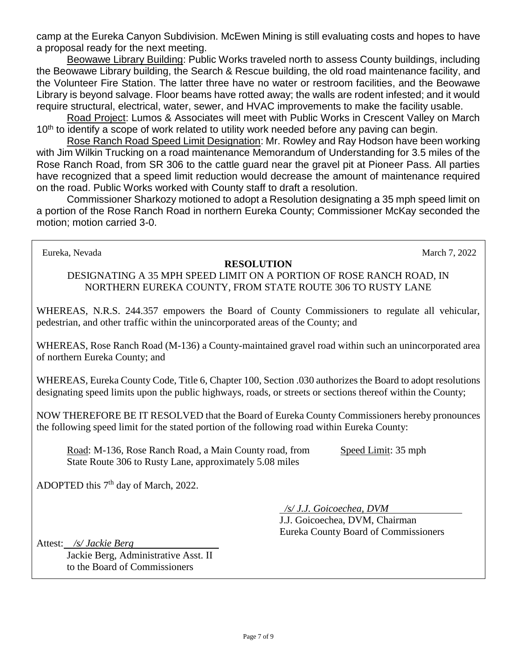camp at the Eureka Canyon Subdivision. McEwen Mining is still evaluating costs and hopes to have a proposal ready for the next meeting.

Beowawe Library Building: Public Works traveled north to assess County buildings, including the Beowawe Library building, the Search & Rescue building, the old road maintenance facility, and the Volunteer Fire Station. The latter three have no water or restroom facilities, and the Beowawe Library is beyond salvage. Floor beams have rotted away; the walls are rodent infested; and it would require structural, electrical, water, sewer, and HVAC improvements to make the facility usable.

Road Project: Lumos & Associates will meet with Public Works in Crescent Valley on March 10<sup>th</sup> to identify a scope of work related to utility work needed before any paving can begin.

Rose Ranch Road Speed Limit Designation: Mr. Rowley and Ray Hodson have been working with Jim Wilkin Trucking on a road maintenance Memorandum of Understanding for 3.5 miles of the Rose Ranch Road, from SR 306 to the cattle guard near the gravel pit at Pioneer Pass. All parties have recognized that a speed limit reduction would decrease the amount of maintenance required on the road. Public Works worked with County staff to draft a resolution.

Commissioner Sharkozy motioned to adopt a Resolution designating a 35 mph speed limit on a portion of the Rose Ranch Road in northern Eureka County; Commissioner McKay seconded the motion; motion carried 3-0.

Eureka, Nevada March 7, 2022

#### **RESOLUTION**

DESIGNATING A 35 MPH SPEED LIMIT ON A PORTION OF ROSE RANCH ROAD, IN NORTHERN EUREKA COUNTY, FROM STATE ROUTE 306 TO RUSTY LANE

WHEREAS, N.R.S. 244.357 empowers the Board of County Commissioners to regulate all vehicular, pedestrian, and other traffic within the unincorporated areas of the County; and

WHEREAS, Rose Ranch Road (M-136) a County-maintained gravel road within such an unincorporated area of northern Eureka County; and

WHEREAS, Eureka County Code, Title 6, Chapter 100, Section .030 authorizes the Board to adopt resolutions designating speed limits upon the public highways, roads, or streets or sections thereof within the County;

NOW THEREFORE BE IT RESOLVED that the Board of Eureka County Commissioners hereby pronounces the following speed limit for the stated portion of the following road within Eureka County:

Road: M-136, Rose Ranch Road, a Main County road, from Speed Limit: 35 mph State Route 306 to Rusty Lane, approximately 5.08 miles

ADOPTED this 7<sup>th</sup> day of March, 2022.

 */s/ J.J. Goicoechea, DVM*

J.J. Goicoechea, DVM, Chairman Eureka County Board of Commissioners

Attest: */s/ Jackie Berg*

Jackie Berg, Administrative Asst. II to the Board of Commissioners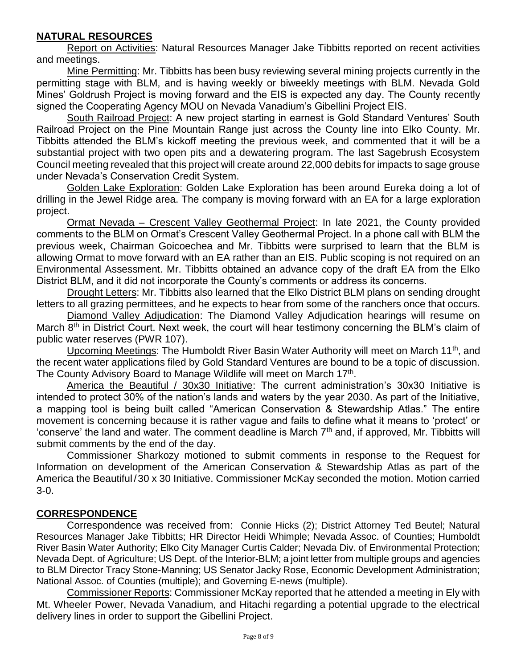# **NATURAL RESOURCES**

Report on Activities: Natural Resources Manager Jake Tibbitts reported on recent activities and meetings.

Mine Permitting: Mr. Tibbitts has been busy reviewing several mining projects currently in the permitting stage with BLM, and is having weekly or biweekly meetings with BLM. Nevada Gold Mines' Goldrush Project is moving forward and the EIS is expected any day. The County recently signed the Cooperating Agency MOU on Nevada Vanadium's Gibellini Project EIS.

South Railroad Project: A new project starting in earnest is Gold Standard Ventures' South Railroad Project on the Pine Mountain Range just across the County line into Elko County. Mr. Tibbitts attended the BLM's kickoff meeting the previous week, and commented that it will be a substantial project with two open pits and a dewatering program. The last Sagebrush Ecosystem Council meeting revealed that this project will create around 22,000 debits for impacts to sage grouse under Nevada's Conservation Credit System.

Golden Lake Exploration: Golden Lake Exploration has been around Eureka doing a lot of drilling in the Jewel Ridge area. The company is moving forward with an EA for a large exploration project.

Ormat Nevada – Crescent Valley Geothermal Project: In late 2021, the County provided comments to the BLM on Ormat's Crescent Valley Geothermal Project. In a phone call with BLM the previous week, Chairman Goicoechea and Mr. Tibbitts were surprised to learn that the BLM is allowing Ormat to move forward with an EA rather than an EIS. Public scoping is not required on an Environmental Assessment. Mr. Tibbitts obtained an advance copy of the draft EA from the Elko District BLM, and it did not incorporate the County's comments or address its concerns.

Drought Letters: Mr. Tibbitts also learned that the Elko District BLM plans on sending drought letters to all grazing permittees, and he expects to hear from some of the ranchers once that occurs.

Diamond Valley Adjudication: The Diamond Valley Adjudication hearings will resume on March 8<sup>th</sup> in District Court. Next week, the court will hear testimony concerning the BLM's claim of public water reserves (PWR 107).

Upcoming Meetings: The Humboldt River Basin Water Authority will meet on March 11<sup>th</sup>, and the recent water applications filed by Gold Standard Ventures are bound to be a topic of discussion. The County Advisory Board to Manage Wildlife will meet on March 17<sup>th</sup>.

America the Beautiful / 30x30 Initiative: The current administration's 30x30 Initiative is intended to protect 30% of the nation's lands and waters by the year 2030. As part of the Initiative, a mapping tool is being built called "American Conservation & Stewardship Atlas." The entire movement is concerning because it is rather vague and fails to define what it means to 'protect' or 'conserve' the land and water. The comment deadline is March 7<sup>th</sup> and, if approved, Mr. Tibbitts will submit comments by the end of the day.

Commissioner Sharkozy motioned to submit comments in response to the Request for Information on development of the American Conservation & Stewardship Atlas as part of the America the Beautiful /30 x 30 Initiative. Commissioner McKay seconded the motion. Motion carried 3-0.

## **CORRESPONDENCE**

Correspondence was received from: Connie Hicks (2); District Attorney Ted Beutel; Natural Resources Manager Jake Tibbitts; HR Director Heidi Whimple; Nevada Assoc. of Counties; Humboldt River Basin Water Authority; Elko City Manager Curtis Calder; Nevada Div. of Environmental Protection; Nevada Dept. of Agriculture; US Dept. of the Interior-BLM; a joint letter from multiple groups and agencies to BLM Director Tracy Stone-Manning; US Senator Jacky Rose, Economic Development Administration; National Assoc. of Counties (multiple); and Governing E-news (multiple).

Commissioner Reports: Commissioner McKay reported that he attended a meeting in Ely with Mt. Wheeler Power, Nevada Vanadium, and Hitachi regarding a potential upgrade to the electrical delivery lines in order to support the Gibellini Project.